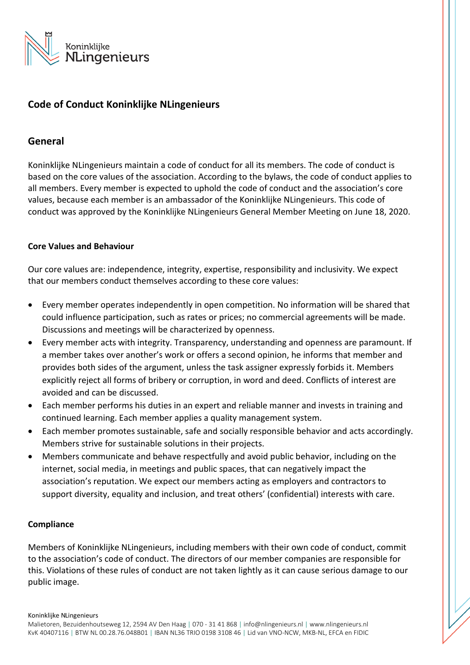

## **Code of Conduct Koninklijke NLingenieurs**

## **General**

Koninklijke NLingenieurs maintain a code of conduct for all its members. The code of conduct is based on the core values of the association. According to the bylaws, the code of conduct applies to all members. Every member is expected to uphold the code of conduct and the association's core values, because each member is an ambassador of the Koninklijke NLingenieurs. This code of conduct was approved by the Koninklijke NLingenieurs General Member Meeting on June 18, 2020.

## **Core Values and Behaviour**

Our core values are: independence, integrity, expertise, responsibility and inclusivity. We expect that our members conduct themselves according to these core values:

- Every member operates independently in open competition. No information will be shared that could influence participation, such as rates or prices; no commercial agreements will be made. Discussions and meetings will be characterized by openness.
- Every member acts with integrity. Transparency, understanding and openness are paramount. If a member takes over another's work or offers a second opinion, he informs that member and provides both sides of the argument, unless the task assigner expressly forbids it. Members explicitly reject all forms of bribery or corruption, in word and deed. Conflicts of interest are avoided and can be discussed.
- Each member performs his duties in an expert and reliable manner and invests in training and continued learning. Each member applies a quality management system.
- Each member promotes sustainable, safe and socially responsible behavior and acts accordingly. Members strive for sustainable solutions in their projects.
- Members communicate and behave respectfully and avoid public behavior, including on the internet, social media, in meetings and public spaces, that can negatively impact the association's reputation. We expect our members acting as employers and contractors to support diversity, equality and inclusion, and treat others' (confidential) interests with care.

## **Compliance**

Members of Koninklijke NLingenieurs, including members with their own code of conduct, commit to the association's code of conduct. The directors of our member companies are responsible for this. Violations of these rules of conduct are not taken lightly as it can cause serious damage to our public image.

Koninklijke NLingenieurs